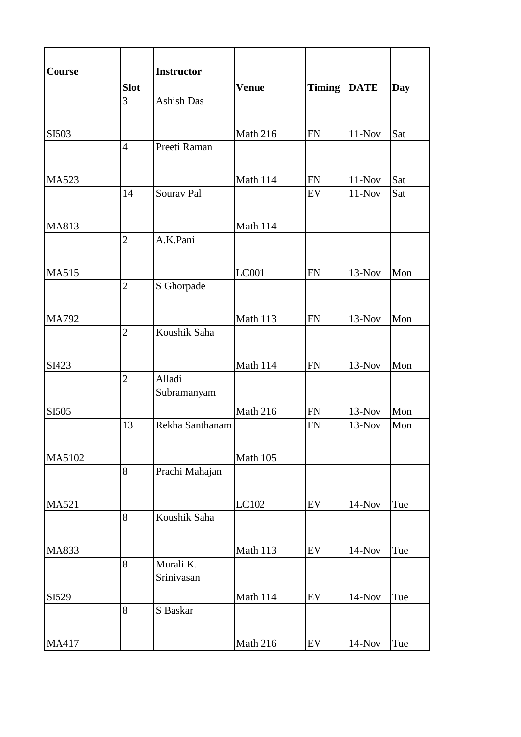| Course       |                | <b>Instructor</b>       |              |               |             |     |
|--------------|----------------|-------------------------|--------------|---------------|-------------|-----|
|              | <b>Slot</b>    |                         | <b>Venue</b> | <b>Timing</b> | <b>DATE</b> | Day |
|              | $\overline{3}$ | <b>Ashish Das</b>       |              |               |             |     |
|              |                |                         |              |               |             |     |
| SI503        |                |                         | Math 216     | <b>FN</b>     | $11-Nov$    | Sat |
|              | $\overline{4}$ | Preeti Raman            |              |               |             |     |
|              |                |                         |              |               |             |     |
| <b>MA523</b> |                |                         | Math 114     | <b>FN</b>     | $11-Nov$    | Sat |
|              | 14             | Sourav Pal              |              | EV            | $11-Nov$    | Sat |
|              |                |                         |              |               |             |     |
| MA813        |                |                         | Math 114     |               |             |     |
|              | $\overline{c}$ | A.K.Pani                |              |               |             |     |
|              |                |                         |              |               |             |     |
| <b>MA515</b> |                |                         | <b>LC001</b> | <b>FN</b>     | $13-Nov$    | Mon |
|              | $\overline{2}$ | S Ghorpade              |              |               |             |     |
|              |                |                         |              |               |             |     |
| MA792        |                |                         | Math 113     | <b>FN</b>     | $13-Nov$    | Mon |
|              | $\overline{2}$ | Koushik Saha            |              |               |             |     |
|              |                |                         |              |               |             |     |
| SI423        |                |                         | Math 114     | FN            | $13-Nov$    | Mon |
|              | $\overline{2}$ | Alladi                  |              |               |             |     |
|              |                | Subramanyam             |              |               |             |     |
| SI505        |                |                         | Math 216     | FN            | $13-Nov$    | Mon |
|              | 13             | Rekha Santhanam         |              | <b>FN</b>     | $13-Nov$    | Mon |
|              |                |                         |              |               |             |     |
| MA5102       |                |                         | Math 105     |               |             |     |
|              | 8              | Prachi Mahajan          |              |               |             |     |
|              |                |                         |              |               |             |     |
|              |                |                         |              |               |             |     |
| MA521        | 8              | Koushik Saha            | LC102        | EV            | $14-Nov$    | Tue |
|              |                |                         |              |               |             |     |
|              |                |                         |              |               |             |     |
| MA833        |                |                         | Math 113     | ${\rm EV}$    | $14-Nov$    | Tue |
|              | 8              | Murali K.<br>Srinivasan |              |               |             |     |
|              |                |                         |              |               |             |     |
| SI529        |                |                         | Math 114     | ${\rm EV}$    | $14-Nov$    | Tue |
|              | 8              | S Baskar                |              |               |             |     |
|              |                |                         |              |               |             |     |
| MA417        |                |                         | Math 216     | EV            | $14-Nov$    | Tue |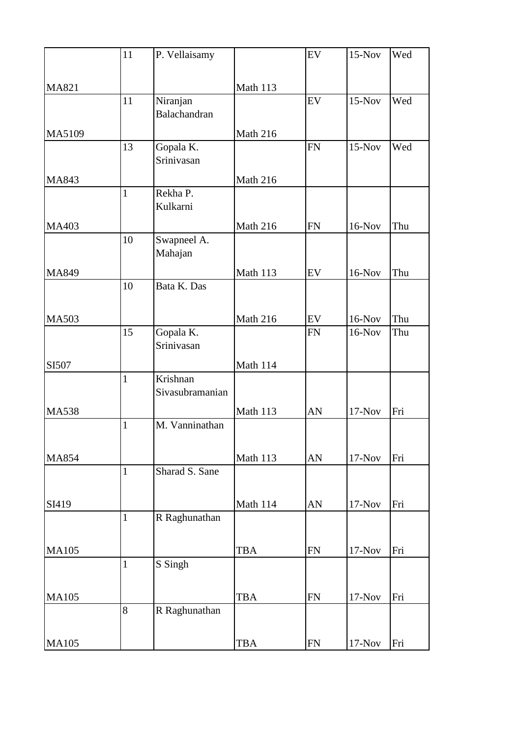|              | 11           | P. Vellaisamy               |                 | EV         | $15-Nov$ | Wed |
|--------------|--------------|-----------------------------|-----------------|------------|----------|-----|
| MA821        |              |                             | Math 113        |            |          |     |
|              | 11           | Niranjan<br>Balachandran    |                 | EV         | $15-Nov$ | Wed |
| MA5109       |              |                             | Math 216        |            |          |     |
|              | 13           | Gopala K.<br>Srinivasan     |                 | <b>FN</b>  | $15-Nov$ | Wed |
| MA843        |              |                             | Math 216        |            |          |     |
|              | $\mathbf{1}$ | Rekha P.<br>Kulkarni        |                 |            |          |     |
| MA403        |              |                             | <b>Math 216</b> | <b>FN</b>  | $16-Nov$ | Thu |
|              | 10           | Swapneel A.<br>Mahajan      |                 |            |          |     |
| MA849        |              |                             | Math 113        | EV         | $16-Nov$ | Thu |
|              | 10           | Bata K. Das                 |                 |            |          |     |
| <b>MA503</b> |              |                             | Math 216        | ${\rm EV}$ | $16-Nov$ | Thu |
|              | 15           | Gopala K.<br>Srinivasan     |                 | <b>FN</b>  | $16-Nov$ | Thu |
| SI507        |              |                             | Math 114        |            |          |     |
|              | $\mathbf{1}$ | Krishnan<br>Sivasubramanian |                 |            |          |     |
| <b>MA538</b> |              |                             | Math 113        | AN         | $17-Nov$ | Fri |
|              | $\mathbf{1}$ | M. Vanninathan              |                 |            |          |     |
| MA854        |              |                             | Math 113        | AN         | $17-Nov$ | Fri |
|              | $\mathbf{1}$ | Sharad S. Sane              |                 |            |          |     |
| SI419        |              |                             | Math 114        | AN         | $17-Nov$ | Fri |
|              | $\mathbf{1}$ | R Raghunathan               |                 |            |          |     |
| <b>MA105</b> |              |                             | <b>TBA</b>      | <b>FN</b>  | $17-Nov$ | Fri |
|              | $\mathbf{1}$ | S Singh                     |                 |            |          |     |
| <b>MA105</b> |              |                             | <b>TBA</b>      | ${\rm FN}$ | $17-Nov$ | Fri |
|              | 8            | R Raghunathan               |                 |            |          |     |
| <b>MA105</b> |              |                             | <b>TBA</b>      | ${\rm FN}$ | $17-Nov$ | Fri |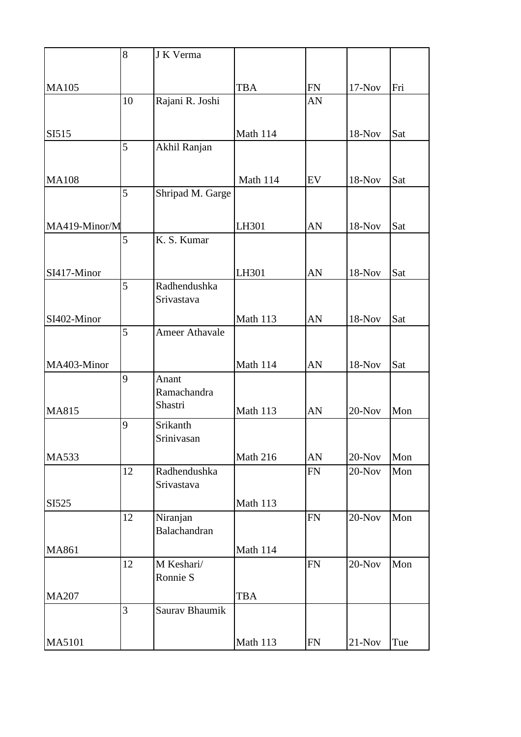|               | 8  | J K Verma                  |            |            |           |     |
|---------------|----|----------------------------|------------|------------|-----------|-----|
|               |    |                            |            |            |           |     |
| <b>MA105</b>  |    |                            | <b>TBA</b> | ${\rm FN}$ | $17-Nov$  | Fri |
|               | 10 | Rajani R. Joshi            |            | AN         |           |     |
|               |    |                            |            |            |           |     |
| SI515         |    |                            | Math 114   |            | 18-Nov    | Sat |
|               | 5  | Akhil Ranjan               |            |            |           |     |
|               |    |                            |            |            |           |     |
| <b>MA108</b>  |    |                            | Math 114   | EV         | 18-Nov    | Sat |
|               | 5  | Shripad M. Garge           |            |            |           |     |
|               |    |                            |            |            |           |     |
| MA419-Minor/M |    |                            | LH301      | AN         | 18-Nov    | Sat |
|               | 5  | K. S. Kumar                |            |            |           |     |
|               |    |                            |            |            |           |     |
| SI417-Minor   |    |                            | LH301      | AN         | 18-Nov    | Sat |
|               | 5  | Radhendushka<br>Srivastava |            |            |           |     |
|               |    |                            |            |            |           |     |
| SI402-Minor   | 5  | <b>Ameer Athavale</b>      | Math 113   | AN         | 18-Nov    | Sat |
|               |    |                            |            |            |           |     |
| MA403-Minor   |    |                            | Math 114   | AN         | 18-Nov    | Sat |
|               | 9  | Anant                      |            |            |           |     |
|               |    | Ramachandra                |            |            |           |     |
| MA815         |    | Shastri                    | Math 113   | AN         | $20$ -Nov | Mon |
|               | 9  | Srikanth                   |            |            |           |     |
|               |    | Srinivasan                 |            |            |           |     |
| MA533         |    |                            | Math 216   | AN         | $20$ -Nov | Mon |
|               | 12 | Radhendushka               |            | ${\rm FN}$ | $20$ -Nov | Mon |
|               |    | Srivastava                 |            |            |           |     |
| SI525         |    |                            | Math 113   |            |           |     |
|               | 12 | Niranjan                   |            | FN         | $20-Nov$  | Mon |
|               |    | Balachandran               |            |            |           |     |
| MA861         |    |                            | Math 114   |            |           |     |
|               | 12 | M Keshari/                 |            | FN         | $20$ -Nov | Mon |
|               |    | Ronnie S                   |            |            |           |     |
| <b>MA207</b>  |    |                            | <b>TBA</b> |            |           |     |
|               | 3  | Saurav Bhaumik             |            |            |           |     |
|               |    |                            |            |            |           |     |
| MA5101        |    |                            | Math 113   | FN         | $21-Nov$  | Tue |